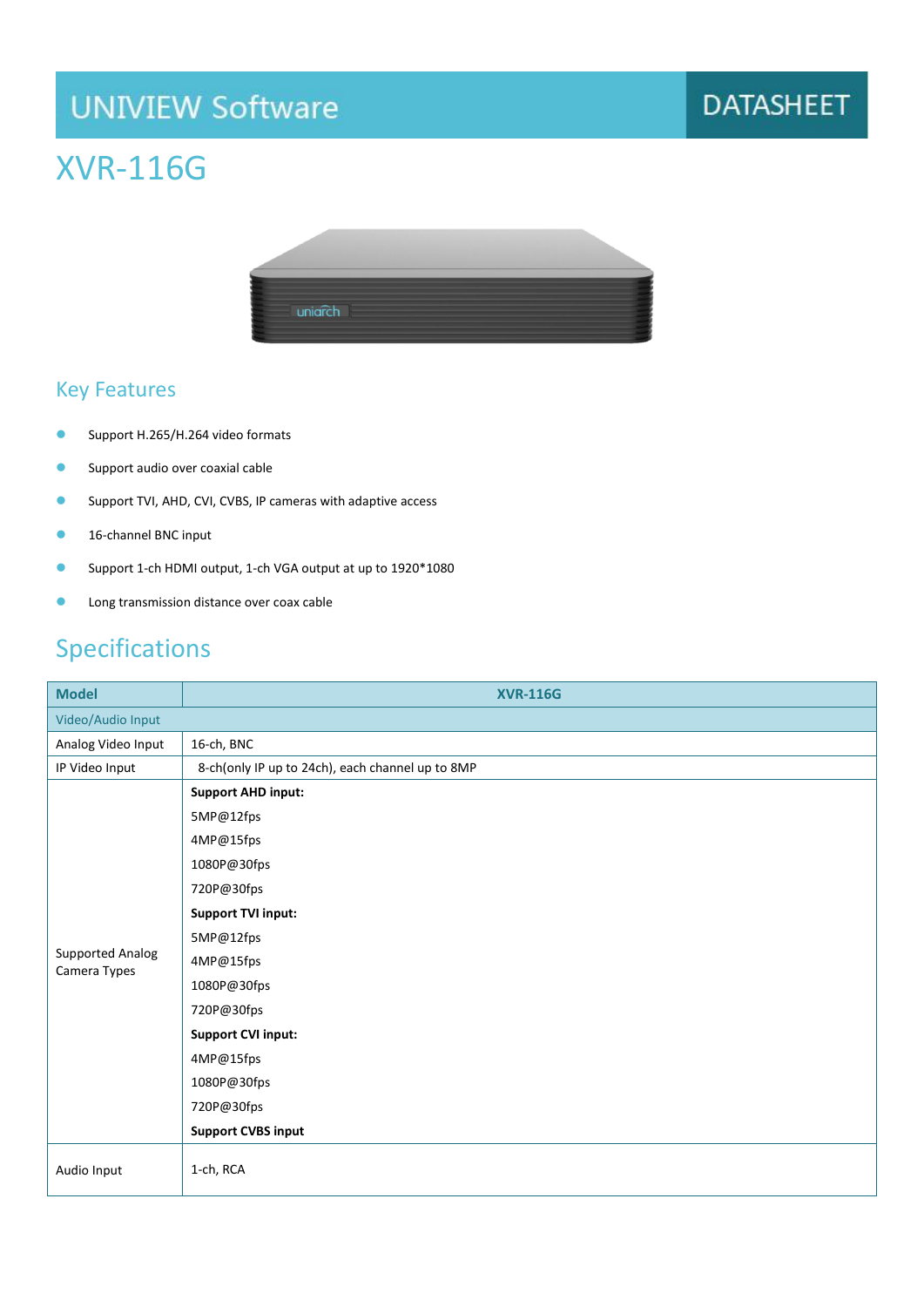# **UNIVIEW Software**

### **DATASHEET**

### XVR-116G



#### Key Features

- Support H.265/H.264 video formats
- Support audio over coaxial cable
- Support TVI, AHD, CVI, CVBS, IP cameras with adaptive access
- 16-channel BNC input
- Support 1-ch HDMI output, 1-ch VGA output at up to 1920\*1080
- **Capacity** Long transmission distance over coax cable

#### Specifications

| <b>Model</b>                            | <b>XVR-116G</b>                                  |
|-----------------------------------------|--------------------------------------------------|
| Video/Audio Input                       |                                                  |
| Analog Video Input                      | 16-ch, BNC                                       |
| IP Video Input                          | 8-ch(only IP up to 24ch), each channel up to 8MP |
| <b>Supported Analog</b><br>Camera Types | <b>Support AHD input:</b>                        |
|                                         | 5MP@12fps                                        |
|                                         | 4MP@15fps                                        |
|                                         | 1080P@30fps                                      |
|                                         | 720P@30fps                                       |
|                                         | <b>Support TVI input:</b>                        |
|                                         | 5MP@12fps                                        |
|                                         | 4MP@15fps                                        |
|                                         | 1080P@30fps                                      |
|                                         | 720P@30fps                                       |
|                                         | <b>Support CVI input:</b>                        |
|                                         | 4MP@15fps                                        |
|                                         | 1080P@30fps                                      |
|                                         | 720P@30fps                                       |
|                                         | <b>Support CVBS input</b>                        |
| Audio Input                             | 1-ch, RCA                                        |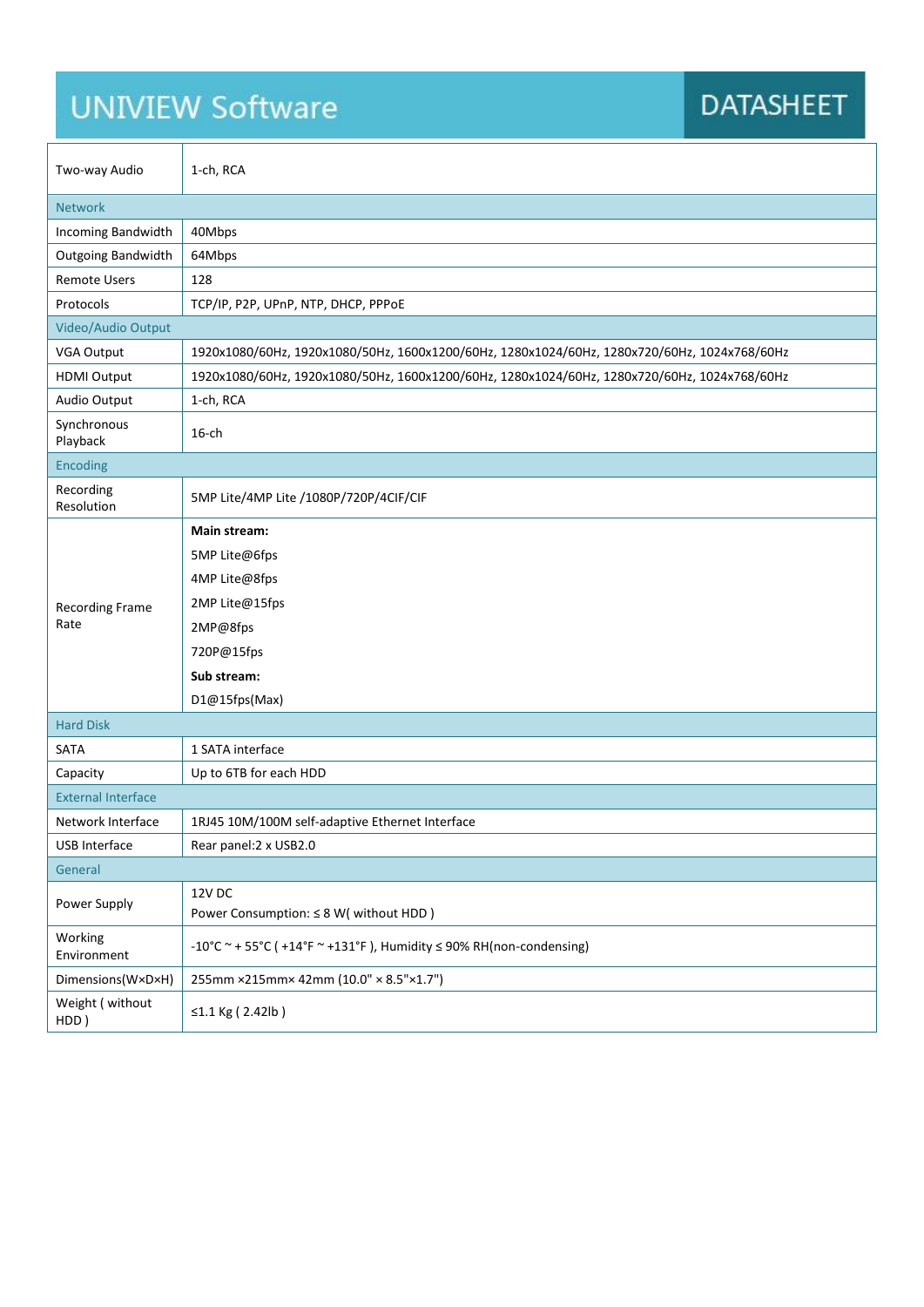# **UNIVIEW Software**

**r** 

### **DATASHEET**

| Two-way Audio                  | 1-ch, RCA                                                                                    |
|--------------------------------|----------------------------------------------------------------------------------------------|
| <b>Network</b>                 |                                                                                              |
| Incoming Bandwidth             | 40Mbps                                                                                       |
| Outgoing Bandwidth             | 64Mbps                                                                                       |
| <b>Remote Users</b>            | 128                                                                                          |
| Protocols                      | TCP/IP, P2P, UPnP, NTP, DHCP, PPPOE                                                          |
| Video/Audio Output             |                                                                                              |
| VGA Output                     | 1920x1080/60Hz, 1920x1080/50Hz, 1600x1200/60Hz, 1280x1024/60Hz, 1280x720/60Hz, 1024x768/60Hz |
| <b>HDMI Output</b>             | 1920x1080/60Hz, 1920x1080/50Hz, 1600x1200/60Hz, 1280x1024/60Hz, 1280x720/60Hz, 1024x768/60Hz |
| Audio Output                   | 1-ch, RCA                                                                                    |
| Synchronous<br>Playback        | $16$ -ch                                                                                     |
| <b>Encoding</b>                |                                                                                              |
| Recording<br>Resolution        | 5MP Lite/4MP Lite /1080P/720P/4CIF/CIF                                                       |
|                                | Main stream:                                                                                 |
|                                | 5MP Lite@6fps                                                                                |
| <b>Recording Frame</b><br>Rate | 4MP Lite@8fps                                                                                |
|                                | 2MP Lite@15fps                                                                               |
|                                | 2MP@8fps                                                                                     |
|                                | 720P@15fps                                                                                   |
|                                | Sub stream:                                                                                  |
|                                | D1@15fps(Max)                                                                                |
| <b>Hard Disk</b>               |                                                                                              |
| SATA                           | 1 SATA interface                                                                             |
| Capacity                       | Up to 6TB for each HDD                                                                       |
| <b>External Interface</b>      |                                                                                              |
| Network Interface              | 1RJ45 10M/100M self-adaptive Ethernet Interface                                              |
| USB Interface                  | Rear panel: 2 x USB2.0                                                                       |
| General                        |                                                                                              |
| Power Supply                   | <b>12V DC</b><br>Power Consumption: ≤ 8 W( without HDD)                                      |
| Working<br>Environment         | -10°C ~ + 55°C ( +14°F ~ +131°F), Humidity $\leq$ 90% RH(non-condensing)                     |
| Dimensions(W×D×H)              | 255mm ×215mm× 42mm (10.0" × 8.5"×1.7")                                                       |
| Weight (without<br>HDD)        | ≤1.1 Kg (2.42lb)                                                                             |